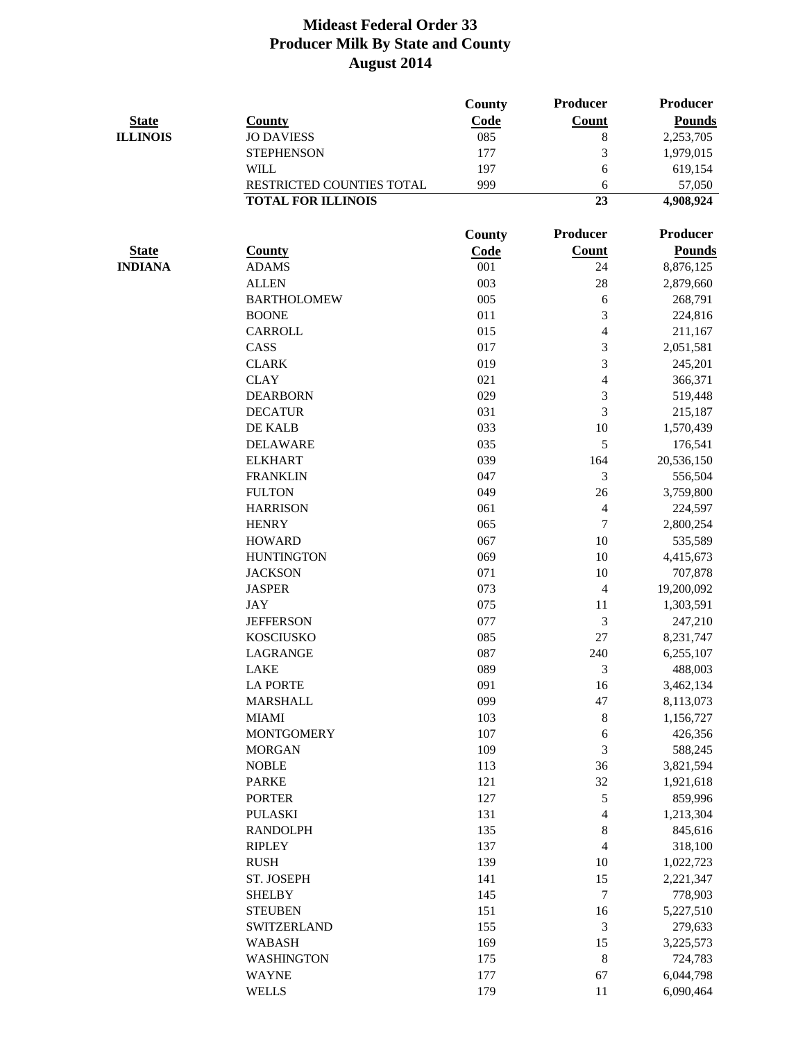|                 |                           | <b>County</b> | <b>Producer</b>  | <b>Producer</b> |
|-----------------|---------------------------|---------------|------------------|-----------------|
| <b>State</b>    | <b>County</b>             | Code          | <b>Count</b>     | <b>Pounds</b>   |
| <b>ILLINOIS</b> | <b>JO DAVIESS</b>         | 085           | $\, 8$           | 2,253,705       |
|                 | <b>STEPHENSON</b>         | 177           | 3                | 1,979,015       |
|                 | <b>WILL</b>               | 197           | 6                | 619,154         |
|                 | RESTRICTED COUNTIES TOTAL | 999           | 6                | 57,050          |
|                 | <b>TOTAL FOR ILLINOIS</b> |               | 23               | 4,908,924       |
|                 |                           | County        | <b>Producer</b>  | <b>Producer</b> |
| <b>State</b>    | <u>County</u>             | Code          | <b>Count</b>     | <b>Pounds</b>   |
| <b>INDIANA</b>  | <b>ADAMS</b>              | 001           | 24               | 8,876,125       |
|                 | <b>ALLEN</b>              | 003           | 28               | 2,879,660       |
|                 | <b>BARTHOLOMEW</b>        | 005           | 6                | 268,791         |
|                 | <b>BOONE</b>              | 011           | 3                | 224,816         |
|                 | <b>CARROLL</b>            | 015           | $\overline{4}$   | 211,167         |
|                 | CASS                      | 017           | 3                | 2,051,581       |
|                 | <b>CLARK</b>              | 019           | 3                | 245,201         |
|                 | <b>CLAY</b>               | 021           | $\overline{4}$   | 366,371         |
|                 | <b>DEARBORN</b>           | 029           | 3                | 519,448         |
|                 | <b>DECATUR</b>            | 031           | 3                | 215,187         |
|                 | DE KALB                   | 033           | 10               | 1,570,439       |
|                 | <b>DELAWARE</b>           | 035           | 5                | 176,541         |
|                 | <b>ELKHART</b>            | 039           | 164              | 20,536,150      |
|                 | <b>FRANKLIN</b>           | 047           | 3                | 556,504         |
|                 | <b>FULTON</b>             | 049           | 26               | 3,759,800       |
|                 | <b>HARRISON</b>           | 061           | $\overline{4}$   | 224,597         |
|                 | <b>HENRY</b>              | 065           | $\boldsymbol{7}$ | 2,800,254       |
|                 | <b>HOWARD</b>             | 067           | 10               | 535,589         |
|                 | <b>HUNTINGTON</b>         | 069           | 10               | 4,415,673       |
|                 | <b>JACKSON</b>            | 071           | 10               | 707,878         |
|                 | <b>JASPER</b>             | 073           | $\overline{4}$   | 19,200,092      |
|                 | <b>JAY</b>                | 075           | 11               | 1,303,591       |
|                 | <b>JEFFERSON</b>          | 077           | $\mathfrak{Z}$   | 247,210         |
|                 | <b>KOSCIUSKO</b>          | 085           | 27               | 8,231,747       |
|                 | <b>LAGRANGE</b>           | 087           | 240              | 6,255,107       |
|                 | <b>LAKE</b>               | 089           | 3                | 488,003         |
|                 | <b>LA PORTE</b>           | 091           | 16               | 3,462,134       |
|                 | <b>MARSHALL</b>           | 099           | 47               | 8,113,073       |
|                 | <b>MIAMI</b>              | 103           | $8\phantom{1}$   | 1,156,727       |
|                 | <b>MONTGOMERY</b>         | 107           | 6                | 426,356         |
|                 | <b>MORGAN</b>             | 109           | 3                | 588,245         |
|                 | <b>NOBLE</b>              | 113           | 36               | 3,821,594       |
|                 | <b>PARKE</b>              | 121           | 32               | 1,921,618       |
|                 | <b>PORTER</b>             | 127           | $\mathfrak s$    | 859,996         |
|                 | <b>PULASKI</b>            | 131           | $\overline{4}$   | 1,213,304       |
|                 | <b>RANDOLPH</b>           | 135           | 8                | 845,616         |
|                 | <b>RIPLEY</b>             | 137           | $\overline{4}$   | 318,100         |
|                 | <b>RUSH</b>               | 139           | 10               | 1,022,723       |
|                 | ST. JOSEPH                | 141           | 15               | 2,221,347       |
|                 | <b>SHELBY</b>             | 145           | $\overline{7}$   | 778,903         |
|                 | <b>STEUBEN</b>            | 151           | 16               | 5,227,510       |
|                 | <b>SWITZERLAND</b>        | 155           | 3                | 279,633         |
|                 | <b>WABASH</b>             | 169           | 15               | 3,225,573       |
|                 | <b>WASHINGTON</b>         | 175           | $\,8\,$          | 724,783         |
|                 | <b>WAYNE</b>              | 177           | 67               | 6,044,798       |
|                 | <b>WELLS</b>              | 179           | 11               | 6,090,464       |
|                 |                           |               |                  |                 |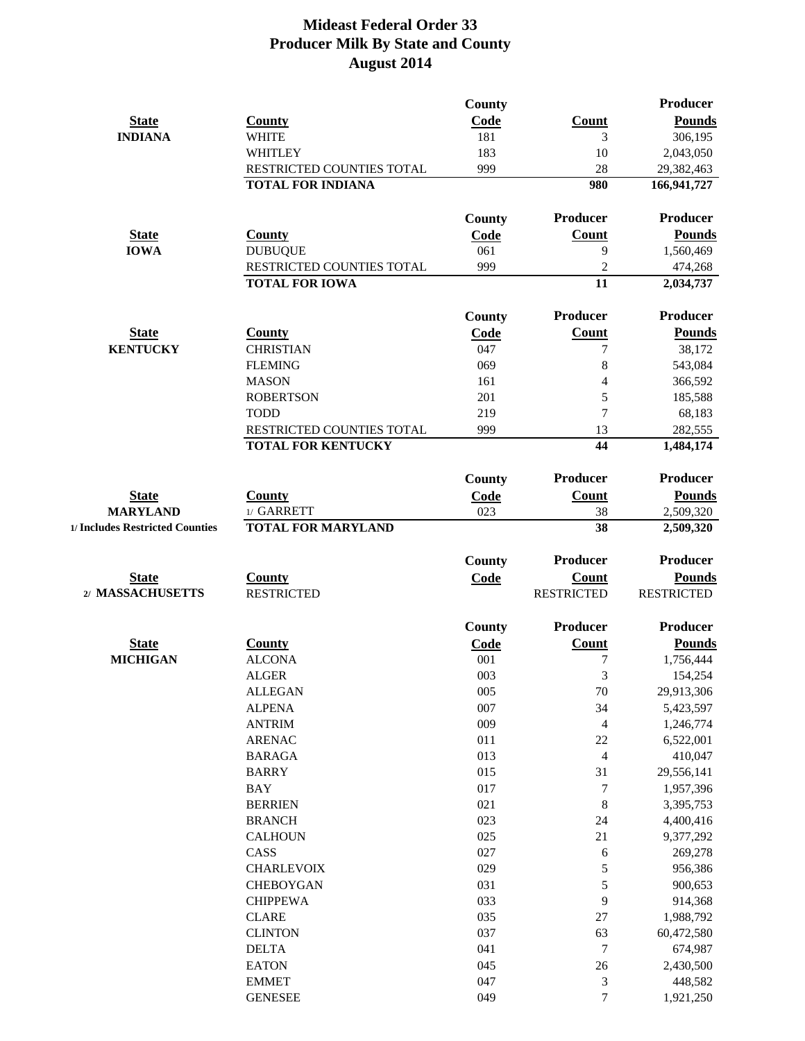|                                 |                                     | <b>County</b> |                                  | Producer          |
|---------------------------------|-------------------------------------|---------------|----------------------------------|-------------------|
| <b>State</b>                    | <b>County</b>                       | Code          | <b>Count</b>                     | <b>Pounds</b>     |
| <b>INDIANA</b>                  | <b>WHITE</b>                        | 181           | 3                                | 306,195           |
|                                 | <b>WHITLEY</b>                      | 183           | 10                               | 2,043,050         |
|                                 | RESTRICTED COUNTIES TOTAL           | 999           | 28                               | 29,382,463        |
|                                 | <b>TOTAL FOR INDIANA</b>            |               | 980                              | 166, 941, 727     |
|                                 |                                     | <b>County</b> | Producer                         | Producer          |
| <b>State</b>                    | <b>County</b>                       | Code          | <b>Count</b>                     | <b>Pounds</b>     |
| <b>IOWA</b>                     | <b>DUBUQUE</b>                      | 061           | 9                                | 1,560,469         |
|                                 | RESTRICTED COUNTIES TOTAL           | 999           | $\overline{2}$                   | 474,268           |
|                                 | <b>TOTAL FOR IOWA</b>               |               | 11                               | 2,034,737         |
|                                 |                                     | <b>County</b> | Producer                         | Producer          |
| <b>State</b>                    | <b>County</b>                       | Code          | <b>Count</b>                     | <b>Pounds</b>     |
| <b>KENTUCKY</b>                 | <b>CHRISTIAN</b>                    | 047           | 7                                | 38,172            |
|                                 | <b>FLEMING</b>                      | 069           | 8                                | 543,084           |
|                                 | <b>MASON</b>                        | 161           | 4                                | 366,592           |
|                                 | <b>ROBERTSON</b>                    | 201           | 5                                | 185,588           |
|                                 | <b>TODD</b>                         | 219           | $\overline{7}$                   | 68,183            |
|                                 | RESTRICTED COUNTIES TOTAL           | 999           | 13                               | 282,555           |
|                                 | <b>TOTAL FOR KENTUCKY</b>           |               | 44                               | 1,484,174         |
|                                 |                                     | <b>County</b> | Producer                         | Producer          |
| <b>State</b>                    | <b>County</b>                       | Code          | <b>Count</b>                     | <b>Pounds</b>     |
| <b>MARYLAND</b>                 | 1/ GARRETT                          | 023           | 38                               | 2,509,320         |
| 1/ Includes Restricted Counties | <b>TOTAL FOR MARYLAND</b>           |               | 38                               | 2,509,320         |
|                                 |                                     | <b>County</b> | Producer                         | Producer          |
| <b>State</b>                    | <b>County</b>                       | Code          | Count                            | <b>Pounds</b>     |
| 2/ MASSACHUSETTS                | <b>RESTRICTED</b>                   |               | <b>RESTRICTED</b>                | <b>RESTRICTED</b> |
|                                 |                                     | <b>County</b> | Producer                         | Producer          |
| <b>State</b>                    | <b>County</b>                       | Code          | <b>Count</b>                     | <b>Pounds</b>     |
| <b>MICHIGAN</b>                 | <b>ALCONA</b>                       | 001           | 7                                | 1,756,444         |
|                                 | <b>ALGER</b>                        | 003           | 3                                | 154,254           |
|                                 | <b>ALLEGAN</b>                      | 005           | $70\,$                           | 29,913,306        |
|                                 | <b>ALPENA</b>                       | 007           | 34                               | 5,423,597         |
|                                 | <b>ANTRIM</b>                       | 009           | $\overline{4}$                   | 1,246,774         |
|                                 | <b>ARENAC</b>                       | 011           | 22                               | 6,522,001         |
|                                 | <b>BARAGA</b>                       | 013           | $\overline{4}$                   | 410,047           |
|                                 | <b>BARRY</b>                        | 015           | 31                               | 29,556,141        |
|                                 | <b>BAY</b>                          | 017           | $\tau$                           | 1,957,396         |
|                                 | <b>BERRIEN</b>                      | 021           | $\,8\,$                          | 3,395,753         |
|                                 | <b>BRANCH</b>                       | 023           | 24                               | 4,400,416         |
|                                 | <b>CALHOUN</b>                      | 025           | 21                               | 9,377,292         |
|                                 | CASS                                | 027           | 6                                | 269,278           |
|                                 | <b>CHARLEVOIX</b>                   | 029           | 5                                | 956,386           |
|                                 |                                     | 031           | 5                                |                   |
|                                 | <b>CHEBOYGAN</b><br><b>CHIPPEWA</b> | 033           | 9                                | 900,653           |
|                                 |                                     |               |                                  | 914,368           |
|                                 | <b>CLARE</b>                        | 035           | 27                               | 1,988,792         |
|                                 | <b>CLINTON</b>                      | 037           | 63                               | 60,472,580        |
|                                 | <b>DELTA</b>                        | 041           | $\overline{7}$                   | 674,987           |
|                                 | <b>EATON</b>                        | 045           | $26\,$                           | 2,430,500         |
|                                 | <b>EMMET</b><br><b>GENESEE</b>      | 047           | $\mathfrak{Z}$<br>$\overline{7}$ | 448,582           |
|                                 |                                     | 049           |                                  | 1,921,250         |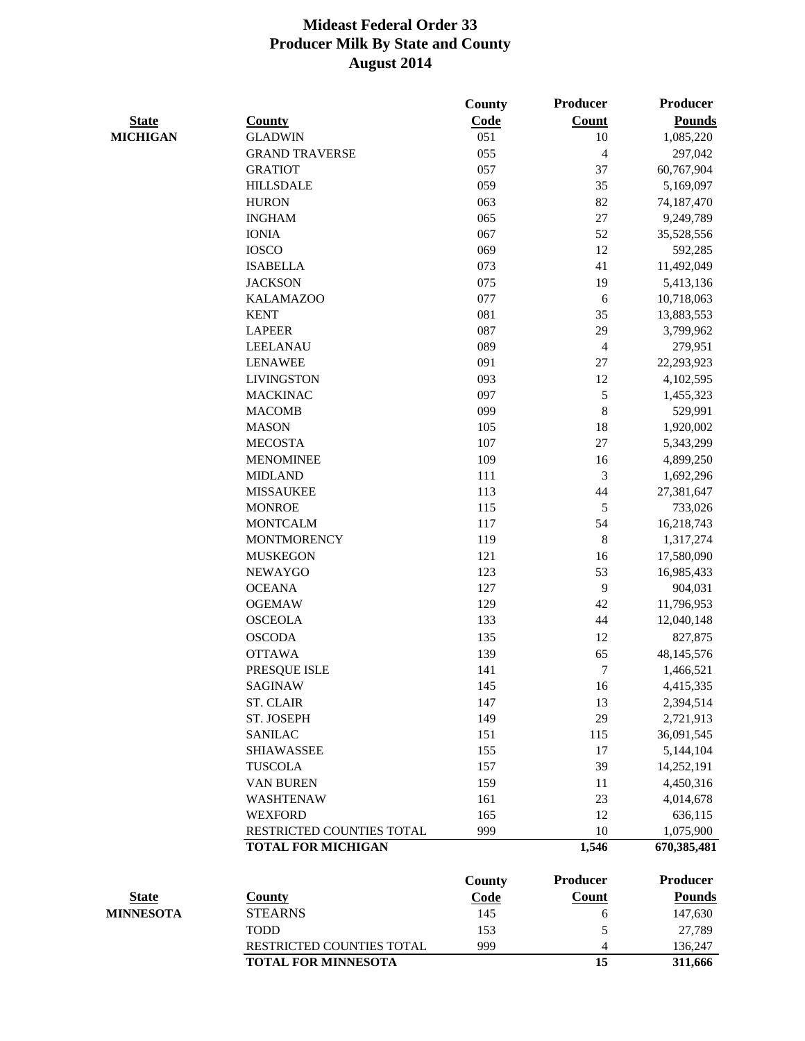|                  |                            | <b>County</b> | <b>Producer</b> | Producer      |
|------------------|----------------------------|---------------|-----------------|---------------|
| <b>State</b>     | <b>County</b>              | <b>Code</b>   | <b>Count</b>    | <b>Pounds</b> |
| <b>MICHIGAN</b>  | <b>GLADWIN</b>             | 051           | 10              | 1,085,220     |
|                  | <b>GRAND TRAVERSE</b>      | 055           | $\overline{4}$  | 297,042       |
|                  | <b>GRATIOT</b>             | 057           | 37              | 60,767,904    |
|                  | <b>HILLSDALE</b>           | 059           | 35              | 5,169,097     |
|                  | <b>HURON</b>               | 063           | 82              | 74,187,470    |
|                  | <b>INGHAM</b>              | 065           | 27              | 9,249,789     |
|                  | <b>IONIA</b>               | 067           | 52              | 35,528,556    |
|                  | <b>IOSCO</b>               | 069           | 12              | 592,285       |
|                  | <b>ISABELLA</b>            | 073           | 41              | 11,492,049    |
|                  | <b>JACKSON</b>             | 075           | 19              | 5,413,136     |
|                  | <b>KALAMAZOO</b>           | 077           | 6               | 10,718,063    |
|                  | <b>KENT</b>                | 081           | 35              | 13,883,553    |
|                  | <b>LAPEER</b>              | 087           | 29              | 3,799,962     |
|                  | <b>LEELANAU</b>            | 089           | $\overline{4}$  | 279,951       |
|                  | <b>LENAWEE</b>             | 091           | 27              | 22,293,923    |
|                  | <b>LIVINGSTON</b>          | 093           | 12              | 4,102,595     |
|                  | <b>MACKINAC</b>            | 097           | 5               | 1,455,323     |
|                  | <b>MACOMB</b>              | 099           | 8               | 529,991       |
|                  | <b>MASON</b>               | 105           | 18              | 1,920,002     |
|                  | <b>MECOSTA</b>             | 107           | 27              | 5,343,299     |
|                  | <b>MENOMINEE</b>           | 109           | 16              | 4,899,250     |
|                  | <b>MIDLAND</b>             | 111           | 3               | 1,692,296     |
|                  | <b>MISSAUKEE</b>           | 113           | 44              | 27,381,647    |
|                  | <b>MONROE</b>              | 115           | 5               | 733,026       |
|                  | <b>MONTCALM</b>            | 117           | 54              | 16,218,743    |
|                  | <b>MONTMORENCY</b>         | 119           | 8               | 1,317,274     |
|                  | <b>MUSKEGON</b>            | 121           | 16              | 17,580,090    |
|                  | <b>NEWAYGO</b>             | 123           | 53              | 16,985,433    |
|                  | <b>OCEANA</b>              | 127           | 9               | 904,031       |
|                  | <b>OGEMAW</b>              | 129           | 42              | 11,796,953    |
|                  | <b>OSCEOLA</b>             | 133           | 44              | 12,040,148    |
|                  | <b>OSCODA</b>              | 135           | 12              | 827,875       |
|                  | <b>OTTAWA</b>              | 139           | 65              | 48,145,576    |
|                  | PRESQUE ISLE               | 141           | $\tau$          | 1,466,521     |
|                  | <b>SAGINAW</b>             | 145           | 16              | 4,415,335     |
|                  | <b>ST. CLAIR</b>           | 147           | 13              | 2,394,514     |
|                  | ST. JOSEPH                 | 149           | 29              | 2,721,913     |
|                  | <b>SANILAC</b>             | 151           | 115             | 36,091,545    |
|                  | <b>SHIAWASSEE</b>          | 155           | 17              | 5,144,104     |
|                  | <b>TUSCOLA</b>             | 157           | 39              | 14,252,191    |
|                  | <b>VAN BUREN</b>           | 159           | 11              | 4,450,316     |
|                  | <b>WASHTENAW</b>           | 161           | 23              | 4,014,678     |
|                  | <b>WEXFORD</b>             | 165           | 12              | 636,115       |
|                  | RESTRICTED COUNTIES TOTAL  | 999           | 10              | 1,075,900     |
|                  | <b>TOTAL FOR MICHIGAN</b>  |               | 1,546           | 670,385,481   |
|                  |                            | <b>County</b> | Producer        | Producer      |
| <b>State</b>     | <b>County</b>              | <b>Code</b>   | <b>Count</b>    | <b>Pounds</b> |
| <b>MINNESOTA</b> | <b>STEARNS</b>             | 145           | 6               | 147,630       |
|                  | <b>TODD</b>                | 153           | 5               | 27,789        |
|                  | RESTRICTED COUNTIES TOTAL  | 999           | 4               | 136,247       |
|                  | <b>TOTAL FOR MINNESOTA</b> |               | 15              | 311,666       |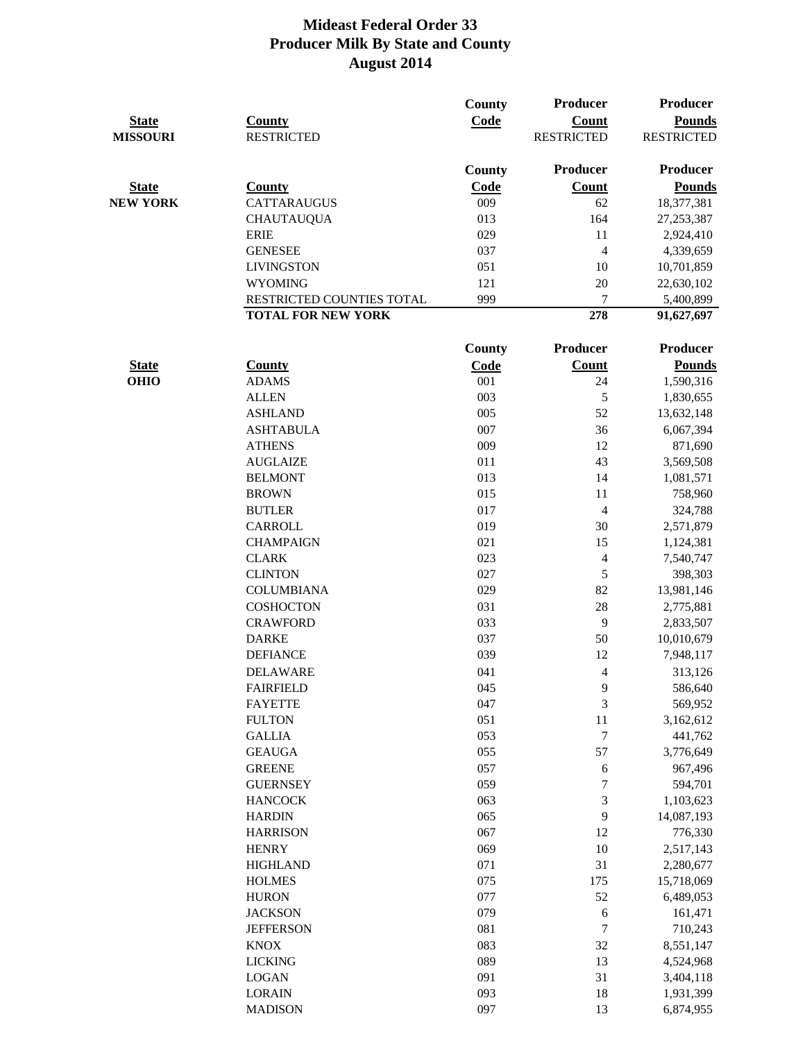| <b>State</b><br><b>MISSOURI</b> | <b>County</b><br><b>RESTRICTED</b> | County<br>Code | Producer<br><b>Count</b><br><b>RESTRICTED</b> | Producer<br><b>Pounds</b><br><b>RESTRICTED</b> |
|---------------------------------|------------------------------------|----------------|-----------------------------------------------|------------------------------------------------|
|                                 |                                    | <b>County</b>  | <b>Producer</b>                               | Producer                                       |
| <b>State</b>                    | <b>County</b>                      | Code           | <b>Count</b>                                  | <b>Pounds</b>                                  |
| <b>NEW YORK</b>                 | <b>CATTARAUGUS</b>                 | 009            | 62                                            | 18,377,381                                     |
|                                 | <b>CHAUTAUQUA</b>                  | 013            | 164                                           | 27, 253, 387                                   |
|                                 | <b>ERIE</b>                        | 029            | 11                                            | 2,924,410                                      |
|                                 | <b>GENESEE</b>                     | 037            | $\overline{4}$                                | 4,339,659                                      |
|                                 | <b>LIVINGSTON</b>                  | 051            | 10                                            | 10,701,859                                     |
|                                 | <b>WYOMING</b>                     | 121            | 20                                            | 22,630,102                                     |
|                                 | RESTRICTED COUNTIES TOTAL          | 999            | 7                                             | 5,400,899                                      |
|                                 | <b>TOTAL FOR NEW YORK</b>          |                | 278                                           | 91,627,697                                     |
|                                 |                                    | <b>County</b>  | <b>Producer</b>                               | Producer                                       |
| <b>State</b>                    | <b>County</b>                      | Code           | <b>Count</b>                                  | <b>Pounds</b>                                  |
| <b>OHIO</b>                     | <b>ADAMS</b>                       | 001            | 24                                            | 1,590,316                                      |
|                                 | <b>ALLEN</b>                       | 003            | 5                                             | 1,830,655                                      |
|                                 | <b>ASHLAND</b>                     | 005            | 52                                            | 13,632,148                                     |
|                                 | <b>ASHTABULA</b>                   | 007            | 36                                            | 6,067,394                                      |
|                                 | <b>ATHENS</b>                      | 009            | 12                                            | 871,690                                        |
|                                 | <b>AUGLAIZE</b>                    | 011            | 43                                            | 3,569,508                                      |
|                                 | <b>BELMONT</b>                     | 013            | 14                                            | 1,081,571                                      |
|                                 | <b>BROWN</b>                       | 015            | 11                                            | 758,960                                        |
|                                 | <b>BUTLER</b>                      | 017            | $\overline{4}$                                | 324,788                                        |
|                                 | CARROLL                            | 019            | 30                                            | 2,571,879                                      |
|                                 | <b>CHAMPAIGN</b>                   | 021            | 15                                            | 1,124,381                                      |
|                                 | <b>CLARK</b>                       | 023            | $\overline{\mathcal{A}}$                      | 7,540,747                                      |
|                                 | <b>CLINTON</b>                     | 027            | 5                                             | 398,303                                        |
|                                 | <b>COLUMBIANA</b>                  | 029            | 82                                            | 13,981,146                                     |
|                                 | <b>COSHOCTON</b>                   | 031            | 28                                            | 2,775,881                                      |
|                                 | <b>CRAWFORD</b>                    | 033            | 9                                             | 2,833,507                                      |
|                                 | <b>DARKE</b>                       | 037            | 50                                            | 10,010,679                                     |
|                                 | <b>DEFIANCE</b>                    | 039            | 12                                            | 7,948,117                                      |
|                                 | <b>DELAWARE</b>                    | 041            | 4                                             | 313,126                                        |
|                                 | <b>FAIRFIELD</b>                   | 045            | 9                                             | 586,640                                        |
|                                 | <b>FAYETTE</b>                     | 047            | 3                                             | 569,952                                        |
|                                 | <b>FULTON</b>                      | 051            | 11                                            | 3,162,612                                      |
|                                 | <b>GALLIA</b>                      | 053            | $\boldsymbol{7}$                              | 441,762                                        |
|                                 | <b>GEAUGA</b>                      | 055            | 57                                            | 3,776,649                                      |
|                                 | <b>GREENE</b>                      | 057            | 6                                             | 967,496                                        |
|                                 | <b>GUERNSEY</b>                    | 059            | $\boldsymbol{7}$                              | 594,701                                        |
|                                 | <b>HANCOCK</b>                     | 063            | 3                                             | 1,103,623                                      |
|                                 | <b>HARDIN</b>                      | 065            | 9                                             | 14,087,193                                     |
|                                 | <b>HARRISON</b>                    | 067            | 12                                            | 776,330                                        |
|                                 | <b>HENRY</b>                       | 069            | 10                                            | 2,517,143                                      |
|                                 | <b>HIGHLAND</b>                    | 071            | 31                                            | 2,280,677                                      |
|                                 | <b>HOLMES</b>                      | 075            | 175                                           | 15,718,069                                     |
|                                 | <b>HURON</b>                       | 077            | 52                                            | 6,489,053                                      |
|                                 | <b>JACKSON</b>                     | 079            | $\sqrt{6}$                                    | 161,471                                        |
|                                 | <b>JEFFERSON</b>                   | 081            | $\boldsymbol{7}$                              | 710,243                                        |
|                                 | <b>KNOX</b>                        | 083            | 32                                            | 8,551,147                                      |
|                                 | <b>LICKING</b>                     | 089            | 13                                            | 4,524,968                                      |
|                                 | <b>LOGAN</b>                       | 091            | 31                                            | 3,404,118                                      |
|                                 | <b>LORAIN</b>                      | 093            | 18                                            | 1,931,399                                      |
|                                 | <b>MADISON</b>                     | 097            | 13                                            | 6,874,955                                      |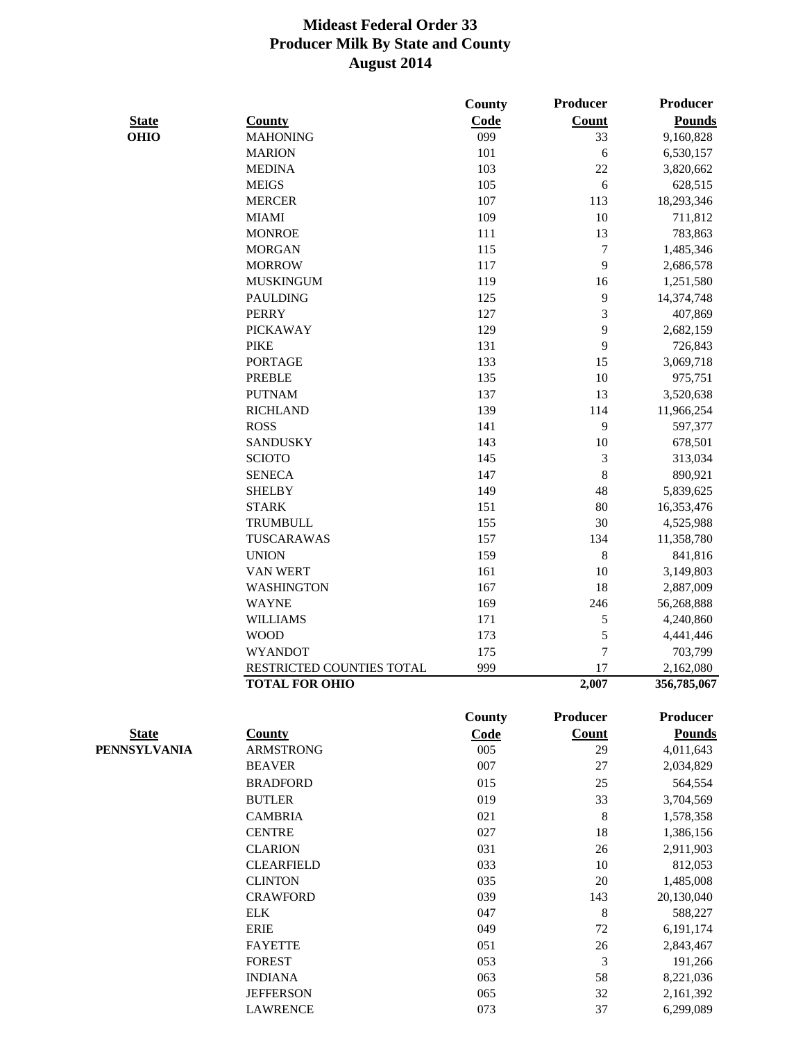|              |                           | <b>County</b> | Producer       | Producer      |
|--------------|---------------------------|---------------|----------------|---------------|
| <b>State</b> | <b>County</b>             | Code          | <b>Count</b>   | <b>Pounds</b> |
| <b>OHIO</b>  | <b>MAHONING</b>           | 099           | 33             | 9,160,828     |
|              | <b>MARION</b>             | 101           | 6              | 6,530,157     |
|              | <b>MEDINA</b>             | 103           | 22             | 3,820,662     |
|              | <b>MEIGS</b>              | 105           | 6              | 628,515       |
|              | <b>MERCER</b>             | 107           | 113            | 18,293,346    |
|              | <b>MIAMI</b>              | 109           | 10             | 711,812       |
|              | <b>MONROE</b>             | 111           | 13             | 783,863       |
|              | <b>MORGAN</b>             | 115           | $\tau$         | 1,485,346     |
|              | <b>MORROW</b>             | 117           | 9              | 2,686,578     |
|              | <b>MUSKINGUM</b>          | 119           | 16             | 1,251,580     |
|              | <b>PAULDING</b>           | 125           | 9              | 14,374,748    |
|              | <b>PERRY</b>              | 127           | 3              | 407,869       |
|              | <b>PICKAWAY</b>           | 129           | 9              | 2,682,159     |
|              | <b>PIKE</b>               | 131           | 9              | 726,843       |
|              | <b>PORTAGE</b>            | 133           | 15             | 3,069,718     |
|              | <b>PREBLE</b>             | 135           | 10             | 975,751       |
|              | <b>PUTNAM</b>             | 137           | 13             | 3,520,638     |
|              | <b>RICHLAND</b>           | 139           | 114            | 11,966,254    |
|              | <b>ROSS</b>               | 141           | 9              | 597,377       |
|              |                           | 143           | 10             |               |
|              | <b>SANDUSKY</b>           |               |                | 678,501       |
|              | <b>SCIOTO</b>             | 145           | 3              | 313,034       |
|              | <b>SENECA</b>             | 147           | 8              | 890,921       |
|              | <b>SHELBY</b>             | 149           | 48             | 5,839,625     |
|              | <b>STARK</b>              | 151           | 80             | 16,353,476    |
|              | <b>TRUMBULL</b>           | 155           | 30             | 4,525,988     |
|              | TUSCARAWAS                | 157           | 134            | 11,358,780    |
|              | <b>UNION</b>              | 159           | 8              | 841,816       |
|              | <b>VAN WERT</b>           | 161           | 10             | 3,149,803     |
|              | <b>WASHINGTON</b>         | 167           | 18             | 2,887,009     |
|              | <b>WAYNE</b>              | 169           | 246            | 56,268,888    |
|              | <b>WILLIAMS</b>           | 171           | 5              | 4,240,860     |
|              | <b>WOOD</b>               | 173           | 5              | 4,441,446     |
|              | <b>WYANDOT</b>            | 175           | $\overline{7}$ | 703,799       |
|              | RESTRICTED COUNTIES TOTAL | 999           | 17             | 2,162,080     |
|              | <b>TOTAL FOR OHIO</b>     |               | 2,007          | 356,785,067   |
|              |                           | <b>County</b> | Producer       | Producer      |
| <b>State</b> | <b>County</b>             | <b>Code</b>   | <b>Count</b>   | <b>Pounds</b> |
| PENNSYLVANIA | <b>ARMSTRONG</b>          | 005           | 29             | 4,011,643     |
|              | <b>BEAVER</b>             | 007           | 27             | 2,034,829     |
|              | <b>BRADFORD</b>           | 015           | 25             | 564,554       |
|              | <b>BUTLER</b>             | 019           | 33             | 3,704,569     |
|              | <b>CAMBRIA</b>            | 021           | 8              | 1,578,358     |
|              | <b>CENTRE</b>             | 027           | 18             | 1,386,156     |
|              | <b>CLARION</b>            | 031           | 26             | 2,911,903     |
|              | <b>CLEARFIELD</b>         | 033           | 10             | 812,053       |
|              | <b>CLINTON</b>            | 035           | 20             | 1,485,008     |
|              | <b>CRAWFORD</b>           | 039           | 143            | 20,130,040    |
|              | <b>ELK</b>                | 047           | 8              | 588,227       |
|              | <b>ERIE</b>               | 049           | 72             | 6,191,174     |
|              | <b>FAYETTE</b>            | 051           | 26             | 2,843,467     |
|              | <b>FOREST</b>             | 053           | 3              | 191,266       |
|              | <b>INDIANA</b>            | 063           | 58             | 8,221,036     |
|              | <b>JEFFERSON</b>          | 065           | 32             | 2,161,392     |
|              | <b>LAWRENCE</b>           | 073           | 37             | 6,299,089     |
|              |                           |               |                |               |